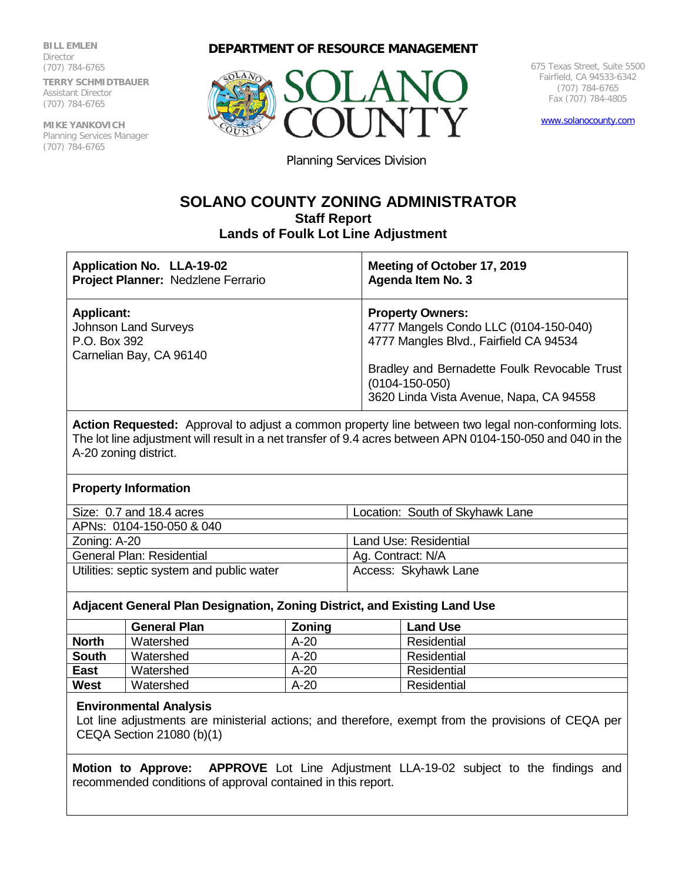**BILL EMLEN Director** (707) 784-6765 **TERRY SCHMIDTBAUER** Assistant Director (707) 784-6765

**MIKE YANKOVICH** Planning Services Manager (707) 784-6765

**DEPARTMENT OF RESOURCE MANAGEMENT**



675 Texas Street, Suite 5500 Fairfield, CA 94533-6342 (707) 784-6765 Fax (707) 784-4805

[www.solanocounty.com](http://www.solanocounty.com/)

Planning Services Division

# **SOLANO COUNTY ZONING ADMINISTRATOR Staff Report Lands of Foulk Lot Line Adjustment**

| <b>Application No. LLA-19-02</b><br>Project Planner: Nedzlene Ferrario                      | Meeting of October 17, 2019<br>Agenda Item No. 3                                                                |
|---------------------------------------------------------------------------------------------|-----------------------------------------------------------------------------------------------------------------|
| <b>Applicant:</b><br><b>Johnson Land Surveys</b><br>P.O. Box 392<br>Carnelian Bay, CA 96140 | <b>Property Owners:</b><br>4777 Mangels Condo LLC (0104-150-040)<br>4777 Mangles Blvd., Fairfield CA 94534      |
|                                                                                             | Bradley and Bernadette Foulk Revocable Trust<br>$(0104 - 150 - 050)$<br>3620 Linda Vista Avenue, Napa, CA 94558 |

**Action Requested:** Approval to adjust a common property line between two legal non-conforming lots. The lot line adjustment will result in a net transfer of 9.4 acres between APN 0104-150-050 and 040 in the A-20 zoning district.

#### **Property Information**

#### **Adjacent General Plan Designation, Zoning District, and Existing Land Use**

|              | <b>General Plan</b> | Zoning | <b>Land Use</b> |
|--------------|---------------------|--------|-----------------|
| <b>North</b> | Watershed           | $A-20$ | Residential     |
| <b>South</b> | Watershed           | $A-20$ | Residential     |
| <b>East</b>  | Watershed           | $A-20$ | Residential     |
| West         | Watershed           | $A-20$ | Residential     |

#### **Environmental Analysis**

Lot line adjustments are ministerial actions; and therefore, exempt from the provisions of CEQA per CEQA Section 21080 (b)(1)

**Motion to Approve: APPROVE** Lot Line Adjustment LLA-19-02 subject to the findings and recommended conditions of approval contained in this report.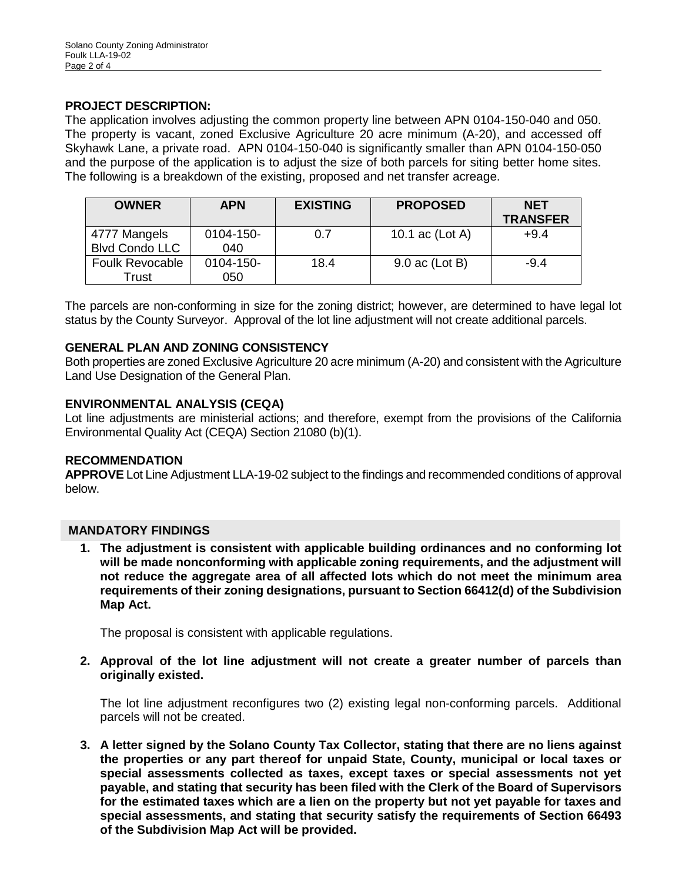# **PROJECT DESCRIPTION:**

The application involves adjusting the common property line between APN 0104-150-040 and 050. The property is vacant, zoned Exclusive Agriculture 20 acre minimum (A-20), and accessed off Skyhawk Lane, a private road. APN 0104-150-040 is significantly smaller than APN 0104-150-050 and the purpose of the application is to adjust the size of both parcels for siting better home sites. The following is a breakdown of the existing, proposed and net transfer acreage.

| <b>OWNER</b>                          | <b>APN</b>       | <b>EXISTING</b> | <b>PROPOSED</b>  | <b>NET</b><br><b>TRANSFER</b> |
|---------------------------------------|------------------|-----------------|------------------|-------------------------------|
| 4777 Mangels<br><b>Blvd Condo LLC</b> | 0104-150-<br>040 | 0.7             | 10.1 ac (Lot A)  | $+9.4$                        |
| <b>Foulk Revocable</b>                | 0104-150-        | 18.4            | $9.0$ ac (Lot B) | $-9.4$                        |
| Trust                                 | 050              |                 |                  |                               |

The parcels are non-conforming in size for the zoning district; however, are determined to have legal lot status by the County Surveyor. Approval of the lot line adjustment will not create additional parcels.

# **GENERAL PLAN AND ZONING CONSISTENCY**

Both properties are zoned Exclusive Agriculture 20 acre minimum (A-20) and consistent with the Agriculture Land Use Designation of the General Plan.

# **ENVIRONMENTAL ANALYSIS (CEQA)**

Lot line adjustments are ministerial actions; and therefore, exempt from the provisions of the California Environmental Quality Act (CEQA) Section 21080 (b)(1).

## **RECOMMENDATION**

**APPROVE** Lot Line Adjustment LLA-19-02 subject to the findings and recommended conditions of approval below.

## **MANDATORY FINDINGS**

**1. The adjustment is consistent with applicable building ordinances and no conforming lot will be made nonconforming with applicable zoning requirements, and the adjustment will not reduce the aggregate area of all affected lots which do not meet the minimum area requirements of their zoning designations, pursuant to Section 66412(d) of the Subdivision Map Act.**

The proposal is consistent with applicable regulations.

**2. Approval of the lot line adjustment will not create a greater number of parcels than originally existed.**

The lot line adjustment reconfigures two (2) existing legal non-conforming parcels. Additional parcels will not be created.

**3. A letter signed by the Solano County Tax Collector, stating that there are no liens against the properties or any part thereof for unpaid State, County, municipal or local taxes or special assessments collected as taxes, except taxes or special assessments not yet payable, and stating that security has been filed with the Clerk of the Board of Supervisors for the estimated taxes which are a lien on the property but not yet payable for taxes and special assessments, and stating that security satisfy the requirements of Section 66493 of the Subdivision Map Act will be provided.**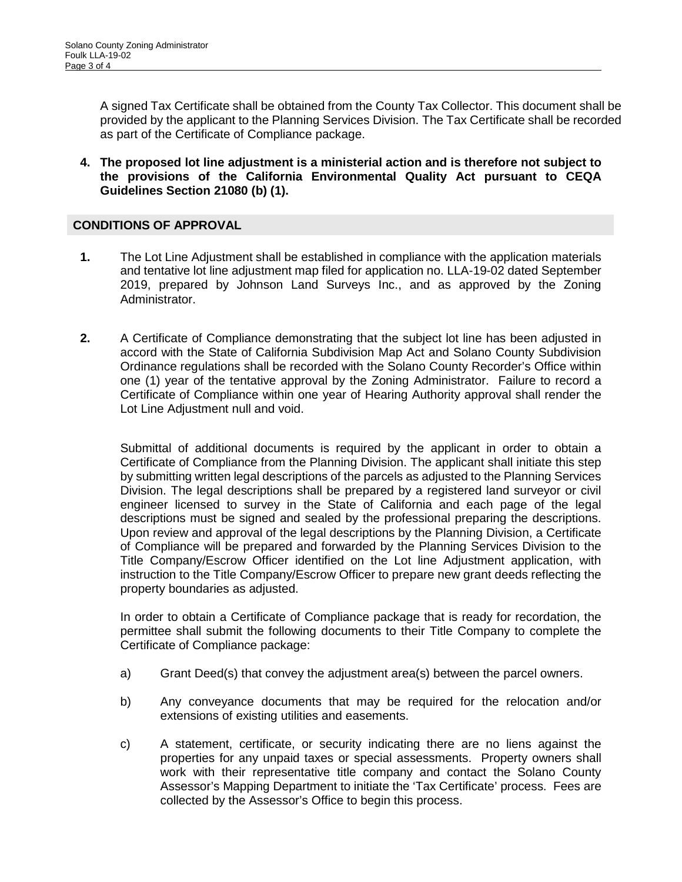A signed Tax Certificate shall be obtained from the County Tax Collector. This document shall be provided by the applicant to the Planning Services Division. The Tax Certificate shall be recorded as part of the Certificate of Compliance package.

**4. The proposed lot line adjustment is a ministerial action and is therefore not subject to the provisions of the California Environmental Quality Act pursuant to CEQA Guidelines Section 21080 (b) (1).**

## **CONDITIONS OF APPROVAL**

- **1.** The Lot Line Adjustment shall be established in compliance with the application materials and tentative lot line adjustment map filed for application no. LLA-19-02 dated September 2019, prepared by Johnson Land Surveys Inc., and as approved by the Zoning Administrator.
- **2.** A Certificate of Compliance demonstrating that the subject lot line has been adjusted in accord with the State of California Subdivision Map Act and Solano County Subdivision Ordinance regulations shall be recorded with the Solano County Recorder's Office within one (1) year of the tentative approval by the Zoning Administrator. Failure to record a Certificate of Compliance within one year of Hearing Authority approval shall render the Lot Line Adjustment null and void.

Submittal of additional documents is required by the applicant in order to obtain a Certificate of Compliance from the Planning Division. The applicant shall initiate this step by submitting written legal descriptions of the parcels as adjusted to the Planning Services Division. The legal descriptions shall be prepared by a registered land surveyor or civil engineer licensed to survey in the State of California and each page of the legal descriptions must be signed and sealed by the professional preparing the descriptions. Upon review and approval of the legal descriptions by the Planning Division, a Certificate of Compliance will be prepared and forwarded by the Planning Services Division to the Title Company/Escrow Officer identified on the Lot line Adjustment application, with instruction to the Title Company/Escrow Officer to prepare new grant deeds reflecting the property boundaries as adjusted.

In order to obtain a Certificate of Compliance package that is ready for recordation, the permittee shall submit the following documents to their Title Company to complete the Certificate of Compliance package:

- a) Grant Deed(s) that convey the adjustment area(s) between the parcel owners.
- b) Any conveyance documents that may be required for the relocation and/or extensions of existing utilities and easements.
- c) A statement, certificate, or security indicating there are no liens against the properties for any unpaid taxes or special assessments. Property owners shall work with their representative title company and contact the Solano County Assessor's Mapping Department to initiate the 'Tax Certificate' process. Fees are collected by the Assessor's Office to begin this process.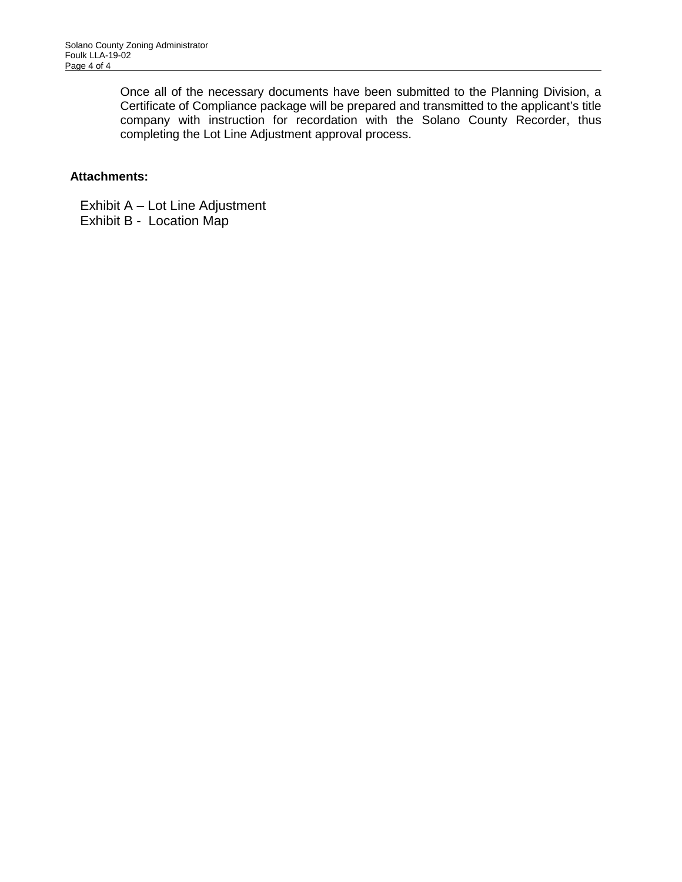Once all of the necessary documents have been submitted to the Planning Division, a Certificate of Compliance package will be prepared and transmitted to the applicant's title company with instruction for recordation with the Solano County Recorder, thus completing the Lot Line Adjustment approval process.

## **Attachments:**

Exhibit A – Lot Line Adjustment Exhibit B - Location Map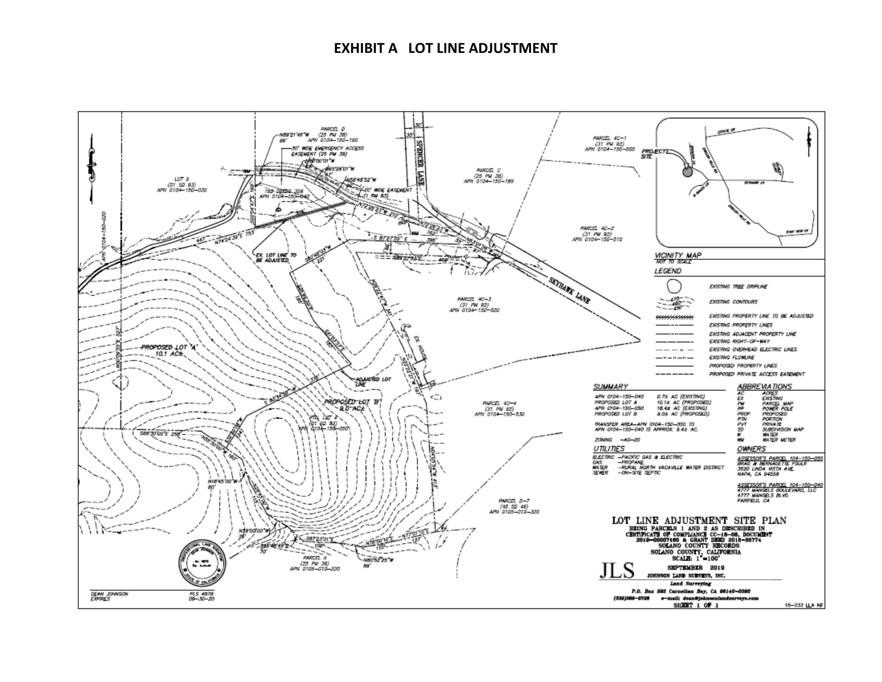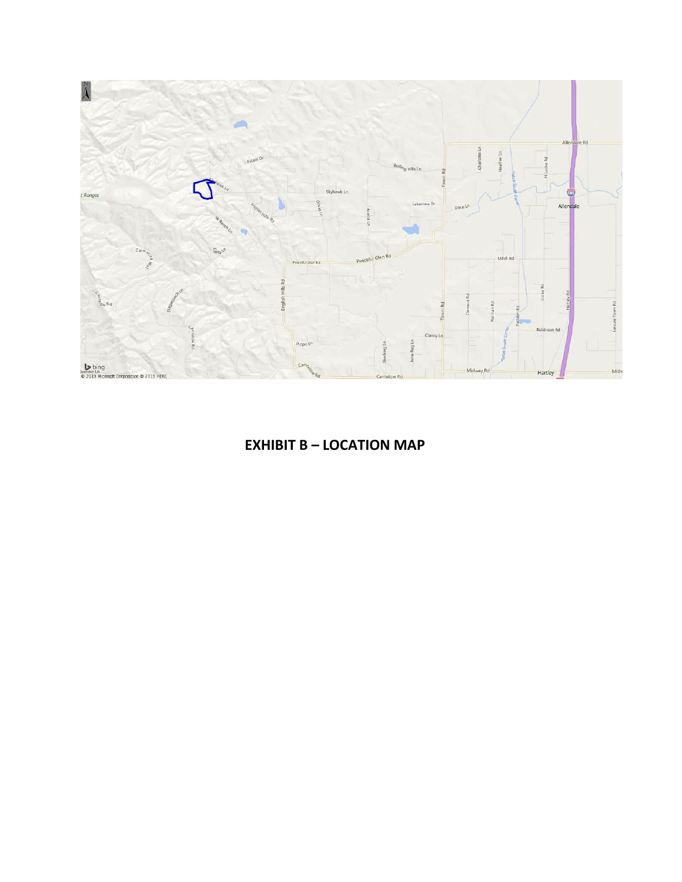

**EXHIBIT B – LOCATION MAP**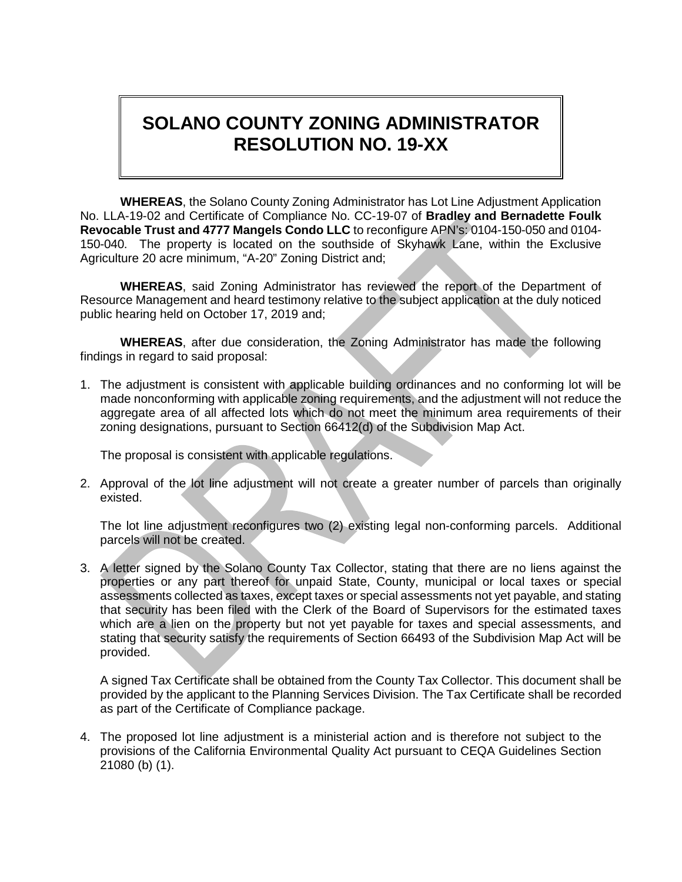# **SOLANO COUNTY ZONING ADMINISTRATOR RESOLUTION NO. 19-XX**

**WHEREAS**, the Solano County Zoning Administrator has Lot Line Adjustment Application No. LLA-19-02 and Certificate of Compliance No. CC-19-07 of **Bradley and Bernadette Foulk Revocable Trust and 4777 Mangels Condo LLC** to reconfigure APN's: 0104-150-050 and 0104- 150-040. The property is located on the southside of Skyhawk Lane, within the Exclusive Agriculture 20 acre minimum, "A-20" Zoning District and;

**WHEREAS**, said Zoning Administrator has reviewed the report of the Department of Resource Management and heard testimony relative to the subject application at the duly noticed public hearing held on October 17, 2019 and;

**WHEREAS**, after due consideration, the Zoning Administrator has made the following findings in regard to said proposal:

1. The adjustment is consistent with applicable building ordinances and no conforming lot will be made nonconforming with applicable zoning requirements, and the adjustment will not reduce the aggregate area of all affected lots which do not meet the minimum area requirements of their zoning designations, pursuant to Section 66412(d) of the Subdivision Map Act.

The proposal is consistent with applicable regulations.

2. Approval of the lot line adjustment will not create a greater number of parcels than originally existed.

The lot line adjustment reconfigures two (2) existing legal non-conforming parcels. Additional parcels will not be created.

3. A letter signed by the Solano County Tax Collector, stating that there are no liens against the properties or any part thereof for unpaid State, County, municipal or local taxes or special assessments collected as taxes, except taxes or special assessments not yet payable, and stating that security has been filed with the Clerk of the Board of Supervisors for the estimated taxes which are a lien on the property but not yet payable for taxes and special assessments, and stating that security satisfy the requirements of Section 66493 of the Subdivision Map Act will be provided.

A signed Tax Certificate shall be obtained from the County Tax Collector. This document shall be provided by the applicant to the Planning Services Division. The Tax Certificate shall be recorded as part of the Certificate of Compliance package.

4. The proposed lot line adjustment is a ministerial action and is therefore not subject to the provisions of the California Environmental Quality Act pursuant to CEQA Guidelines Section 21080 (b) (1).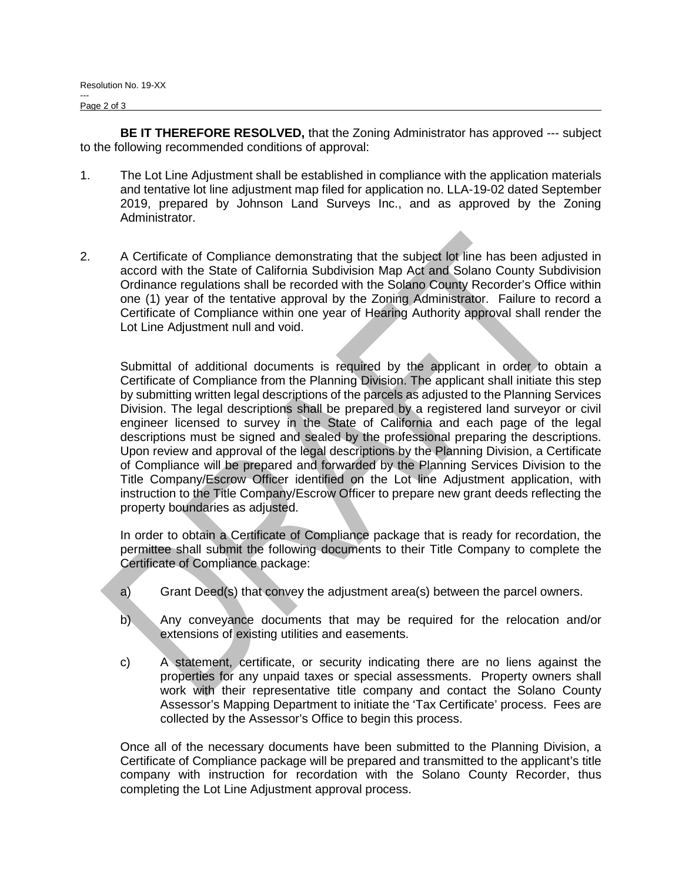**BE IT THEREFORE RESOLVED,** that the Zoning Administrator has approved --- subject to the following recommended conditions of approval:

- 1. The Lot Line Adjustment shall be established in compliance with the application materials and tentative lot line adjustment map filed for application no. LLA-19-02 dated September 2019, prepared by Johnson Land Surveys Inc., and as approved by the Zoning Administrator.
- 2. A Certificate of Compliance demonstrating that the subject lot line has been adjusted in accord with the State of California Subdivision Map Act and Solano County Subdivision Ordinance regulations shall be recorded with the Solano County Recorder's Office within one (1) year of the tentative approval by the Zoning Administrator. Failure to record a Certificate of Compliance within one year of Hearing Authority approval shall render the Lot Line Adjustment null and void.

Submittal of additional documents is required by the applicant in order to obtain a Certificate of Compliance from the Planning Division. The applicant shall initiate this step by submitting written legal descriptions of the parcels as adjusted to the Planning Services Division. The legal descriptions shall be prepared by a registered land surveyor or civil engineer licensed to survey in the State of California and each page of the legal descriptions must be signed and sealed by the professional preparing the descriptions. Upon review and approval of the legal descriptions by the Planning Division, a Certificate of Compliance will be prepared and forwarded by the Planning Services Division to the Title Company/Escrow Officer identified on the Lot line Adjustment application, with instruction to the Title Company/Escrow Officer to prepare new grant deeds reflecting the property boundaries as adjusted.

In order to obtain a Certificate of Compliance package that is ready for recordation, the permittee shall submit the following documents to their Title Company to complete the Certificate of Compliance package:

- a) Grant Deed(s) that convey the adjustment area(s) between the parcel owners.
- b) Any conveyance documents that may be required for the relocation and/or extensions of existing utilities and easements.
- c) A statement, certificate, or security indicating there are no liens against the properties for any unpaid taxes or special assessments. Property owners shall work with their representative title company and contact the Solano County Assessor's Mapping Department to initiate the 'Tax Certificate' process. Fees are collected by the Assessor's Office to begin this process.

Once all of the necessary documents have been submitted to the Planning Division, a Certificate of Compliance package will be prepared and transmitted to the applicant's title company with instruction for recordation with the Solano County Recorder, thus completing the Lot Line Adjustment approval process.